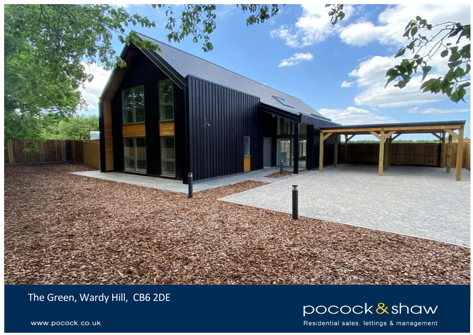

The Green, Wardy Hill, CB6 2DE



Residential sales, lettings & management

www.pocock.co.uk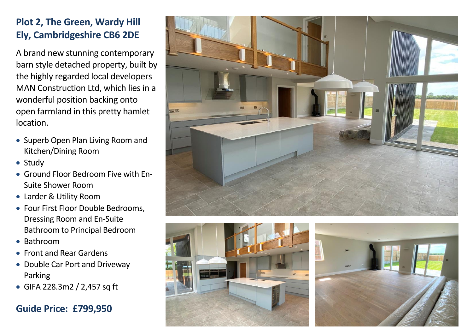## **Plot 2, The Green, Wardy Hill Ely, Cambridgeshire CB6 2DE**

A brand new stunning contemporary barn style detached property, built by the highly regarded local developers MAN Construction Ltd, which lies in a wonderful position backing onto open farmland in this pretty hamlet location.

- Superb Open Plan Living Room and Kitchen/Dining Room
- Study
- Ground Floor Bedroom Five with En-Suite Shower Room
- Larder & Utility Room
- Four First Floor Double Bedrooms, Dressing Room and En-Suite Bathroom to Principal Bedroom
- Bathroom
- Front and Rear Gardens
- Double Car Port and Driveway Parking
- GIFA 228.3m2 / 2,457 sq ft

## **Guide Price: £799,950**





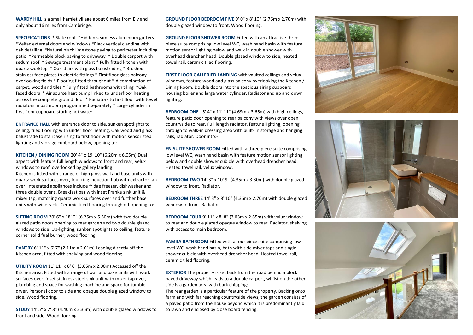**WARDY HILL** is a small hamlet village about 6 miles from Ely and only about 16 miles from Cambridge.

**SPECIFICATIONS** \* Slate roof \*Hidden seamless aluminium gutters \*Velfac external doors and windows \*Black vertical cladding with oak detailing \*Natural black limestone paving to perimeter including patio \*Permeable block paving to driveway \* Double carport with sedum roof \* Sewage treatment plant \* Fully fitted kitchen with quartz worktop \* Oak stairs with glass balustrading \* Brushed stainless face plates to electric fittings \* First floor glass balcony overlooking fields \* Flooring fitted throughout \* A combination of carpet, wood and tiles \* Fully fitted bathrooms with tiling \*Oak faced doors \* Air source heat pump linked to underfloor heating across the complete ground floor \* Radiators to first floor with towel radiators in bathroom programmed separately \* Large cylinder in first floor cupboard storing hot water

**ENTRANCE HALL** with entrance door to side, sunken spotlights to ceiling, tiled flooring with under floor heating, Oak wood and glass balustrade to staircase rising to first floor with motion sensor step lighting and storage cupboard below, opening to:-

**KITCHEN / DINING ROOM** 20' 4" x 19' 10" (6.20m x 6.05m) Dual aspect with feature full length windows to front and rear, velux windows to roof, overlooked by gallery landing. Kitchen is fitted with a range of high gloss wall and base units with quartz work surfaces over, four ring induction hob with extractor fan over, integrated appliances include fridge freezer, dishwasher and three double ovens. Breakfast bar with inset Franke sink unit & mixer tap, matching quartz work surfaces over and further base units with wine rack. Ceramic tiled flooring throughout opening to:-

**SITTING ROOM** 20' 6" x 18' 0" (6.25m x 5.50m) with two double glazed patio doors opening to rear garden and two double glazed windows to side. Up-lighting, sunken spotlights to ceiling, feature corner solid fuel burner, wood flooring.

**PANTRY** 6' 11" x 6' 7" (2.11m x 2.01m) Leading directly off the Kitchen area, fitted with shelving and wood flooring.

**UTILITY ROOM** 11' 11" x 6' 6" (3.65m x 2.00m) Accessed off the Kitchen area. Fitted with a range of wall and base units with work surfaces over, inset stainless steel sink unit with mixer tap over, plumbing and space for washing machine and space for tumble dryer. Personal door to side and opaque double glazed window to side. Wood flooring.

**STUDY** 14' 5" x 7' 8" (4.40m x 2.35m) with double glazed windows to front and side. Wood flooring.

**GROUND FLOOR BEDROOM FIVE** 9' 0" x 8' 10" (2.76m x 2.70m) with double glazed window to front. Wood flooring.

**GROUND FLOOR SHOWER ROOM** Fitted with an attractive three piece suite comprising low level WC, wash hand basin with feature motion sensor lighting below and walk in double shower with overhead drencher head. Double glazed window to side, heated towel rail, ceramic tiled flooring.

**FIRST FLOOR GALLERIED LANDING** with vaulted ceilings and velux windows, feature wood and glass balcony overlooking the Kitchen / Dining Room. Double doors into the spacious airing cupboard housing boiler and large water cylinder. Radiator and up and down lighting.

**BEDROOM ONE** 15' 4" x 11' 11" (4.69m x 3.65m) with high ceilings, feature patio door opening to rear balcony with views over open countryside to rear. Full length radiator, feature lighting, opening through to walk-in dressing area with built- in storage and hanging rails, radiator. Door into:-

**EN-SUITE SHOWER ROOM** Fitted with a three piece suite comprising low level WC, wash hand basin with feature motion sensor lighting below and double shower cubicle with overhead drencher head. Heated towel rail, velux window.

**BEDROOM TWO** 14' 3" x 10' 9" (4.35m x 3.30m) with double glazed window to front. Radiator.

**BEDROOM THREE** 14' 3" x 8' 10" (4.36m x 2.70m) with double glazed window to front. Radiator.

**BEDROOM FOUR** 9' 11" x 8' 8" (3.03m x 2.65m) with velux window to rear and double glazed opaque window to rear. Radiator, shelving with access to main bedroom.

**FAMILY BATHROOM** Fitted with a four piece suite comprising low level WC, wash hand basin, bath with side mixer taps and single shower cubicle with overhead drencher head. Heated towel rail, ceramic tiled flooring.

**EXTERIOR** The property is set back from the road behind a block paved driveway which leads to a double carport, whilst on the other side is a garden area with bark chippings.

The rear garden is a particular feature of the property. Backing onto farmland with far reaching countryside views, the garden consists of a paved patio from the house beyond which it is predominantly laid to lawn and enclosed by close board fencing.